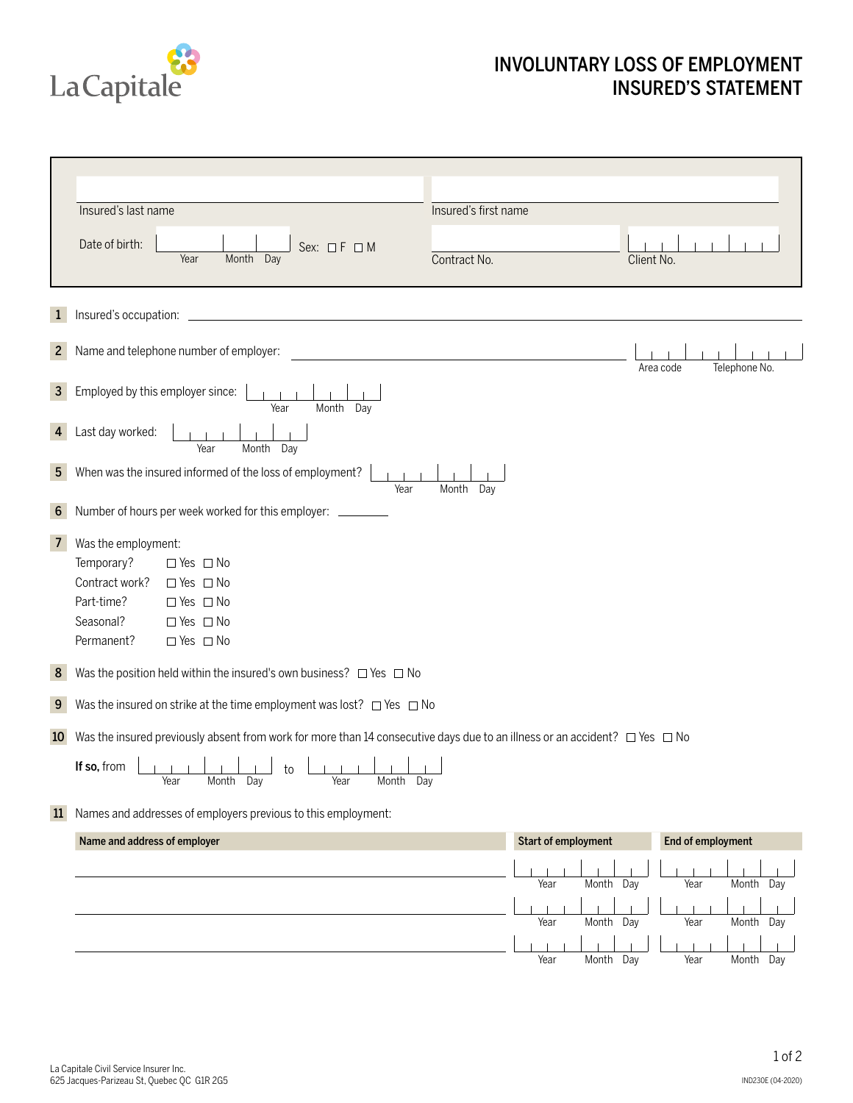

## INVOLUNTARY LOSS OF EMPLOYMENT INSURED'S STATEMENT

h

|                                       | Insured's last name                                                                                                                                                                                                                                                                                                                                                                      | Insured's first name           |                            |                           |  |
|---------------------------------------|------------------------------------------------------------------------------------------------------------------------------------------------------------------------------------------------------------------------------------------------------------------------------------------------------------------------------------------------------------------------------------------|--------------------------------|----------------------------|---------------------------|--|
|                                       | Date of birth:<br>Sex: $\Box F \Box M$<br>Year<br>Month Day                                                                                                                                                                                                                                                                                                                              | Contract No.                   | Client No.                 |                           |  |
| $\mathbf{1}$                          |                                                                                                                                                                                                                                                                                                                                                                                          |                                |                            |                           |  |
| 2 <sup>1</sup>                        | Name and telephone number of employer:                                                                                                                                                                                                                                                                                                                                                   |                                | Area code                  | Telephone No.             |  |
| 3 <sup>1</sup>                        | Employed by this employer since:<br>Year<br>Month Day                                                                                                                                                                                                                                                                                                                                    |                                |                            |                           |  |
| 4                                     | Last day worked:<br>Month Day<br>Year                                                                                                                                                                                                                                                                                                                                                    |                                |                            |                           |  |
| 5 <sup>1</sup>                        | When was the insured informed of the loss of employment?<br>Year<br>Month Day                                                                                                                                                                                                                                                                                                            |                                |                            |                           |  |
| 6                                     | Number of hours per week worked for this employer: ________                                                                                                                                                                                                                                                                                                                              |                                |                            |                           |  |
| 7 <sup>1</sup><br>8 <sup>°</sup><br>9 | Was the employment:<br>Temporary?<br>$\Box$ Yes $\Box$ No<br>Contract work?<br>$\Box$ Yes $\Box$ No<br>Part-time?<br>$\Box$ Yes $\Box$ No<br>Seasonal?<br>$\Box$ Yes $\Box$ No<br>Permanent?<br>$\Box$ Yes $\Box$ No<br>Was the position held within the insured's own business? $\Box$ Yes $\Box$ No<br>Was the insured on strike at the time employment was lost? $\Box$ Yes $\Box$ No |                                |                            |                           |  |
| 10 <sup>°</sup>                       | Was the insured previously absent from work for more than 14 consecutive days due to an illness or an accident? $\Box$ Yes $\Box$ No                                                                                                                                                                                                                                                     |                                |                            |                           |  |
|                                       | If so, from<br>to<br>Year<br>Month Day<br>Year<br>Month Day                                                                                                                                                                                                                                                                                                                              |                                |                            |                           |  |
| 11                                    | Names and addresses of employers previous to this employment:                                                                                                                                                                                                                                                                                                                            |                                |                            |                           |  |
|                                       | Name and address of employer                                                                                                                                                                                                                                                                                                                                                             | <b>Start of employment</b>     | End of employment          |                           |  |
|                                       |                                                                                                                                                                                                                                                                                                                                                                                          | Year<br>Month                  | Day<br>Year                | Month Day                 |  |
|                                       |                                                                                                                                                                                                                                                                                                                                                                                          | Year<br>Month<br>Year<br>Month | Day<br>Year<br>Day<br>Year | Month<br>Day<br>Month Day |  |